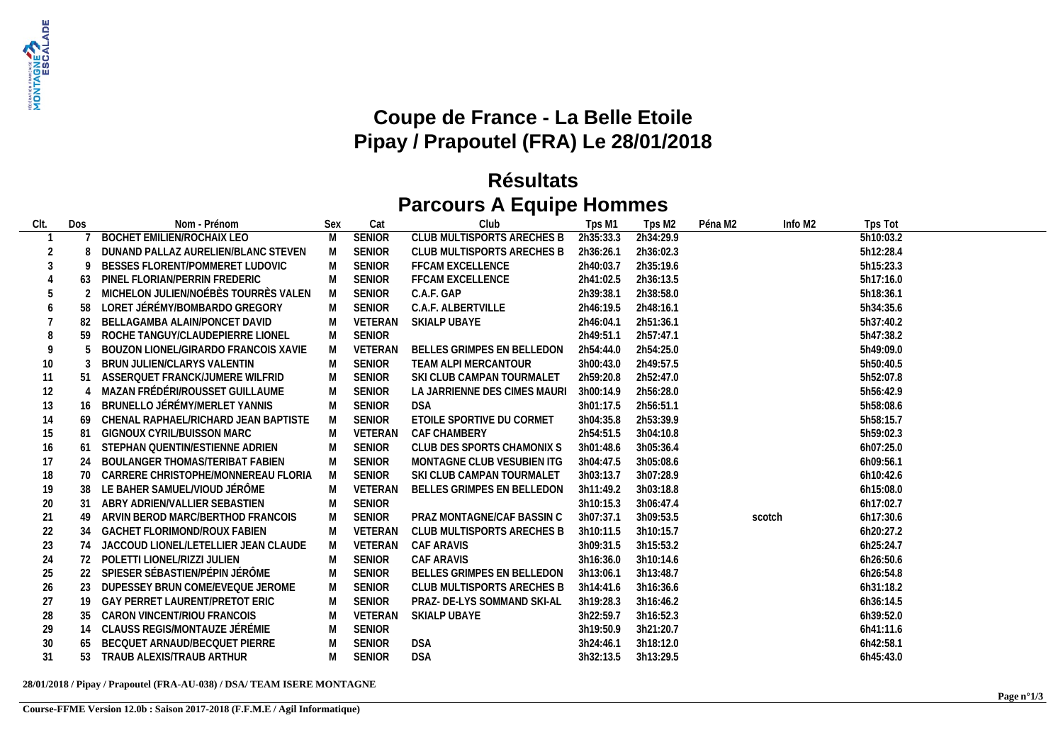

## **Coupe de France - La Belle Etoile Pipay / Prapoutel (FRA) Le 28/01/2018**

## **Résultats Parcours A Equipe Hommes**

| CIt. | Dos | Nom - Prénom                           | Sex | Cat           | Club                         | Tps M1    | Tps M <sub>2</sub> | Péna M2 | Info M2 | Tps Tot   |  |
|------|-----|----------------------------------------|-----|---------------|------------------------------|-----------|--------------------|---------|---------|-----------|--|
|      |     | <b>BOCHET EMILIEN/ROCHAIX LEO</b>      | M   | <b>SENIOR</b> | CLUB MULTISPORTS ARECHES B   | 2h35:33.3 | 2h34:29.9          |         |         | 5h10:03.2 |  |
| 2    |     | DUNAND PALLAZ AURELIEN/BLANC STEVEN    | M   | <b>SENIOR</b> | CLUB MULTISPORTS ARECHES B   | 2h36:26.1 | 2h36:02.3          |         |         | 5h12:28.4 |  |
|      |     | BESSES FLORENT/POMMERET LUDOVIC        |     | <b>SENIOR</b> | <b>FFCAM EXCELLENCE</b>      | 2h40:03.7 | 2h35:19.6          |         |         | 5h15:23.3 |  |
|      | 63  | PINEL FLORIAN/PERRIN FREDERIC          | M   | <b>SENIOR</b> | <b>FFCAM EXCELLENCE</b>      | 2h41:02.5 | 2h36:13.5          |         |         | 5h17:16.0 |  |
|      |     | MICHELON JULIEN/NOÉBÈS TOURRÈS VALEN   | M   | <b>SENIOR</b> | C.A.F. GAP                   | 2h39:38.1 | 2h38:58.0          |         |         | 5h18:36.1 |  |
| 6    |     | LORET JÉRÉMY/BOMBARDO GREGORY          |     | <b>SENIOR</b> | C.A.F. ALBERTVILLE           | 2h46:19.5 | 2h48:16.1          |         |         | 5h34:35.6 |  |
|      |     | BELLAGAMBA ALAIN/PONCET DAVID          | M   | VETERAN       | SKIALP UBAYE                 | 2h46:04.1 | 2h51:36.1          |         |         | 5h37:40.2 |  |
| 8    |     | ROCHE TANGUY/CLAUDEPIERRE LIONEL       |     | <b>SENIOR</b> |                              | 2h49:51.1 | 2h57:47.1          |         |         | 5h47:38.2 |  |
|      |     | BOUZON LIONEL/GIRARDO FRANCOIS XAVIE   | M   | VETERAN       | BELLES GRIMPES EN BELLEDON   | 2h54:44.0 | 2h54:25.0          |         |         | 5h49:09.0 |  |
| 10   |     | BRUN JULIEN/CLARYS VALENTIN            | M   | <b>SENIOR</b> | TEAM ALPI MERCANTOUR         | 3h00:43.0 | 2h49:57.5          |         |         | 5h50:40.5 |  |
| 11   |     | ASSERQUET FRANCK/JUMERE WILFRID        | M   | <b>SENIOR</b> | SKI CLUB CAMPAN TOURMALET    | 2h59:20.8 | 2h52:47.0          |         |         | 5h52:07.8 |  |
| 12   |     | MAZAN FRÉDÉRI/ROUSSET GUILLAUME        |     | <b>SENIOR</b> | LA JARRIENNE DES CIMES MAURI | 3h00:14.9 | 2h56:28.0          |         |         | 5h56:42.9 |  |
| 13   |     | 16 BRUNELLO JÉRÉMY/MERLET YANNIS       | M   | <b>SENIOR</b> | <b>DSA</b>                   | 3h01:17.5 | 2h56:51.1          |         |         | 5h58:08.6 |  |
| 14   | 69  | CHENAL RAPHAEL/RICHARD JEAN BAPTISTE   | M   | <b>SENIOR</b> | ETOILE SPORTIVE DU CORMET    | 3h04:35.8 | 2h53:39.9          |         |         | 5h58:15.7 |  |
| 15   |     | GIGNOUX CYRIL/BUISSON MARC             |     | VETERAN       | CAF CHAMBERY                 | 2h54:51.5 | 3h04:10.8          |         |         | 5h59:02.3 |  |
| 16   | 61  | STEPHAN QUENTIN/ESTIENNE ADRIEN        | M   | <b>SENIOR</b> | CLUB DES SPORTS CHAMONIX S   | 3h01:48.6 | 3h05:36.4          |         |         | 6h07:25.0 |  |
| 17   | 24  | BOULANGER THOMAS/TERIBAT FABIEN        |     | <b>SENIOR</b> | MONTAGNE CLUB VESUBIEN ITG   | 3h04:47.5 | 3h05:08.6          |         |         | 6h09:56.1 |  |
| 18   |     | 70 CARRERE CHRISTOPHE/MONNEREAU FLORIA | M   | <b>SENIOR</b> | SKI CLUB CAMPAN TOURMALET    | 3h03:13.7 | 3h07:28.9          |         |         | 6h10:42.6 |  |
| 19   | 38  | LE BAHER SAMUEL/VIOUD JÉRÔME           | M   | VETERAN       | BELLES GRIMPES EN BELLEDON   | 3h11:49.2 | 3h03:18.8          |         |         | 6h15:08.0 |  |
| 20   |     | ABRY ADRIEN/VALLIER SEBASTIEN          |     | <b>SENIOR</b> |                              | 3h10:15.3 | 3h06:47.4          |         |         | 6h17:02.7 |  |
| 21   |     | ARVIN BEROD MARC/BERTHOD FRANCOIS      | M   | <b>SENIOR</b> | PRAZ MONTAGNE/CAF BASSIN C   | 3h07:37.1 | 3h09:53.5          |         | scotch  | 6h17:30.6 |  |
| 22   |     | 34 GACHET FLORIMOND/ROUX FABIEN        |     | VETERAN       | CLUB MULTISPORTS ARECHES B   | 3h10:11.5 | 3h10:15.7          |         |         | 6h20:27.2 |  |
| 23   | 74  | JACCOUD LIONEL/LETELLIER JEAN CLAUDE   | M   | VETERAN       | CAF ARAVIS                   | 3h09:31.5 | 3h15:53.2          |         |         | 6h25:24.7 |  |
| 24   |     | 72 POLETTI LIONEL/RIZZI JULIEN         |     | <b>SENIOR</b> | <b>CAF ARAVIS</b>            | 3h16:36.0 | 3h10:14.6          |         |         | 6h26:50.6 |  |
| 25   |     | 22 SPIESER SÉBASTIEN/PÉPIN JÉRÔME      | M   | <b>SENIOR</b> | BELLES GRIMPES EN BELLEDON   | 3h13:06.1 | 3h13:48.7          |         |         | 6h26:54.8 |  |
| 26   | 23  | DUPESSEY BRUN COME/EVEQUE JEROME       | M   | <b>SENIOR</b> | CLUB MULTISPORTS ARECHES B   | 3h14:41.6 | 3h16:36.6          |         |         | 6h31:18.2 |  |
| 27   | 19  | <b>GAY PERRET LAURENT/PRETOT ERIC</b>  |     | <b>SENIOR</b> | PRAZ- DE-LYS SOMMAND SKI-AL  | 3h19:28.3 | 3h16:46.2          |         |         | 6h36:14.5 |  |
| 28   |     | 35 CARON VINCENT/RIOU FRANCOIS         |     | VETERAN       | SKIALP UBAYE                 | 3h22:59.7 | 3h16:52.3          |         |         | 6h39:52.0 |  |
| 29   |     | 14 CLAUSS REGIS/MONTAUZE JÉRÉMIE       | M   | <b>SENIOR</b> |                              | 3h19:50.9 | 3h21:20.7          |         |         | 6h41:11.6 |  |
| 30   |     | BECQUET ARNAUD/BECQUET PIERRE          | M   | <b>SENIOR</b> | <b>DSA</b>                   | 3h24:46.1 | 3h18:12.0          |         |         | 6h42:58.1 |  |
| 31   | 53  | TRAUB ALEXIS/TRAUB ARTHUR              |     | <b>SENIOR</b> | <b>DSA</b>                   | 3h32:13.5 | 3h13:29.5          |         |         | 6h45:43.0 |  |

## **28/01/2018 / Pipay / Prapoutel (FRA-AU-038) / DSA/ TEAM ISERE MONTAGNE**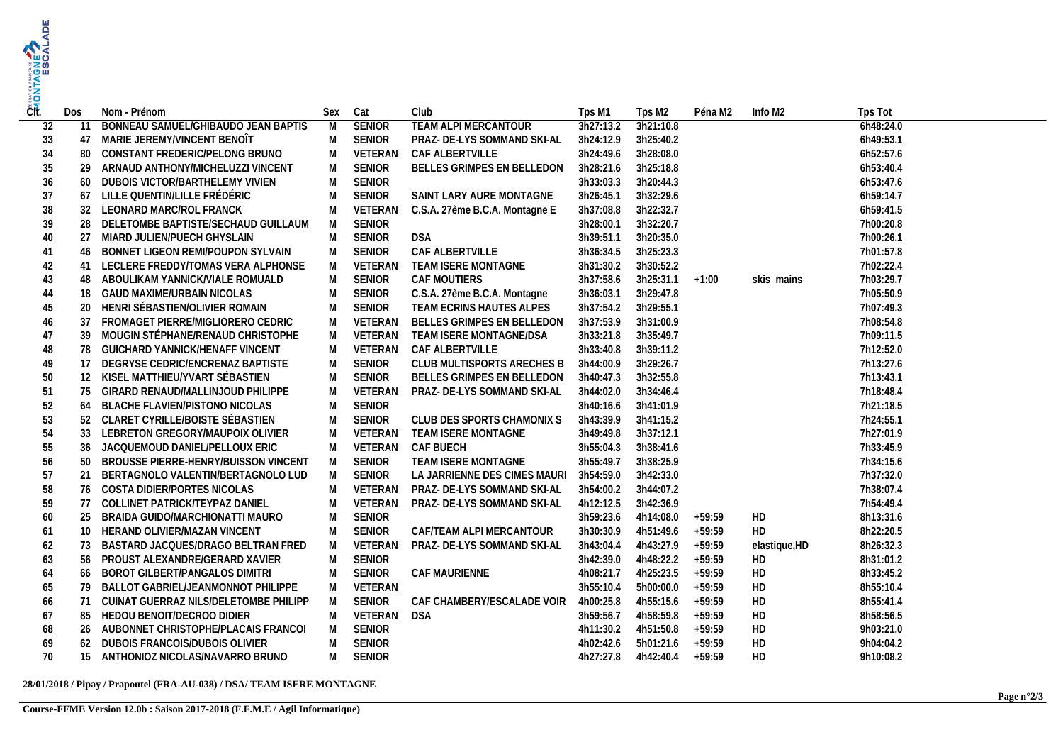| ČÍt. | Dos | Nom - Prénom                             | Sex | Cat           | Club                                   | Tps M1    | Tps M2            | Péna M2  | Info M2       | Tps Tot   |  |
|------|-----|------------------------------------------|-----|---------------|----------------------------------------|-----------|-------------------|----------|---------------|-----------|--|
| 32   | 11  | BONNEAU SAMUEL/GHIBAUDO JEAN BAPTIS      | M   | <b>SENIOR</b> | TEAM ALPI MERCANTOUR                   | 3h27:13.2 | 3h21:10.8         |          |               | 6h48:24.0 |  |
| 33   | 47  | MARIE JEREMY/VINCENT BENOÎT              | M   | <b>SENIOR</b> | PRAZ- DE-LYS SOMMAND SKI-AL            | 3h24:12.9 | 3h25:40.2         |          |               | 6h49:53.1 |  |
| 34   | 80  | CONSTANT FREDERIC/PELONG BRUNO           | M   | VETERAN       | CAF ALBERTVILLE                        | 3h24:49.6 | 3h28:08.0         |          |               | 6h52:57.6 |  |
| 35   |     | 29 ARNAUD ANTHONY/MICHELUZZI VINCENT     | M   | <b>SENIOR</b> | BELLES GRIMPES EN BELLEDON             | 3h28:21.6 | 3h25:18.8         |          |               | 6h53:40.4 |  |
| 36   | 60  | DUBOIS VICTOR/BARTHELEMY VIVIEN          | M   | SENIOR        |                                        | 3h33:03.3 | 3h20:44.3         |          |               | 6h53:47.6 |  |
| 37   | 67  | LILLE QUENTIN/LILLE FRÉDÉRIC             | M   | <b>SENIOR</b> | SAINT LARY AURE MONTAGNE               | 3h26:45.1 | 3h32:29.6         |          |               | 6h59:14.7 |  |
| 38   |     | 32 LEONARD MARC/ROL FRANCK               | M   | VETERAN       | C.S.A. 27ème B.C.A. Montagne E         | 3h37:08.8 | 3h22:32.7         |          |               | 6h59:41.5 |  |
| 39   |     | 28 DELETOMBE BAPTISTE/SECHAUD GUILLAUM   | M   | <b>SENIOR</b> |                                        | 3h28:00.1 | 3h32:20.7         |          |               | 7h00:20.8 |  |
| 40   |     | 27 MIARD JULIEN/PUECH GHYSLAIN           | M   | <b>SENIOR</b> | <b>DSA</b>                             | 3h39:51.1 | 3h20:35.0         |          |               | 7h00:26.1 |  |
| 41   |     | 46 BONNET LIGEON REMI/POUPON SYLVAIN     | M   | <b>SENIOR</b> | CAF ALBERTVILLE                        | 3h36:34.5 | 3h25:23.3         |          |               | 7h01:57.8 |  |
| 42   |     | 41 LECLERE FREDDY/TOMAS VERA ALPHONSE    | M   | VETERAN       | TEAM ISERE MONTAGNE                    | 3h31:30.2 | 3h30:52.2         |          |               | 7h02:22.4 |  |
| 43   | 48  | ABOULIKAM YANNICK/VIALE ROMUALD          | M   | <b>SENIOR</b> | CAF MOUTIERS                           | 3h37:58.6 | $3h25:31.1 +1:00$ |          | skis mains    | 7h03:29.7 |  |
| 44   |     | 18 GAUD MAXIME/URBAIN NICOLAS            | M   | SENIOR        | C.S.A. 27ème B.C.A. Montagne           | 3h36:03.1 | 3h29:47.8         |          |               | 7h05:50.9 |  |
| 45   |     | 20 HENRI SÉBASTIEN/OLIVIER ROMAIN        | M   | <b>SENIOR</b> | TEAM ECRINS HAUTES ALPES               | 3h37:54.2 | 3h29:55.1         |          |               | 7h07:49.3 |  |
| 46   | 37  | FROMAGET PIERRE/MIGLIORERO CEDRIC        | M   |               | VETERAN BELLES GRIMPES EN BELLEDON     | 3h37:53.9 | 3h31:00.9         |          |               | 7h08:54.8 |  |
| 47   |     | 39 MOUGIN STÉPHANE/RENAUD CHRISTOPHE     | M   | VETERAN       | TEAM ISERE MONTAGNE/DSA                | 3h33:21.8 | 3h35:49.7         |          |               | 7h09:11.5 |  |
| 48   |     | 78 GUICHARD YANNICK/HENAFF VINCENT       | M   | VETERAN       | CAF ALBERTVILLE                        | 3h33:40.8 | 3h39:11.2         |          |               | 7h12:52.0 |  |
| 49   |     | 17 DEGRYSE CEDRIC/ENCRENAZ BAPTISTE      | M   | <b>SENIOR</b> | CLUB MULTISPORTS ARECHES B             | 3h44:00.9 | 3h29:26.7         |          |               | 7h13:27.6 |  |
| 50   |     | 12 KISEL MATTHIEU/YVART SÉBASTIEN        | M   | SENIOR        | BELLES GRIMPES EN BELLEDON             | 3h40:47.3 | 3h32:55.8         |          |               | 7h13:43.1 |  |
| 51   |     | 75 GIRARD RENAUD/MALLINJOUD PHILIPPE     | M   | VETERAN       | PRAZ- DE-LYS SOMMAND SKI-AL            | 3h44:02.0 | 3h34:46.4         |          |               | 7h18:48.4 |  |
| 52   |     | 64 BLACHE FLAVIEN/PISTONO NICOLAS        | M   | <b>SENIOR</b> |                                        | 3h40:16.6 | 3h41:01.9         |          |               | 7h21:18.5 |  |
| 53   |     | 52 CLARET CYRILLE/BOISTE SÉBASTIEN       | M   | <b>SENIOR</b> | CLUB DES SPORTS CHAMONIX S             | 3h43:39.9 | 3h41:15.2         |          |               | 7h24:55.1 |  |
| 54   |     | 33 LEBRETON GREGORY/MAUPOIX OLIVIER      | M   | VETERAN       | TEAM ISERE MONTAGNE                    | 3h49:49.8 | 3h37:12.1         |          |               | 7h27:01.9 |  |
| 55   | 36  | JACQUEMOUD DANIEL/PELLOUX ERIC           | M   | VETERAN       | CAF BUECH                              | 3h55:04.3 | 3h38:41.6         |          |               | 7h33:45.9 |  |
| 56   |     | 50 BROUSSE PIERRE-HENRY/BUISSON VINCENT  | M   | <b>SENIOR</b> | TEAM ISERE MONTAGNE                    | 3h55:49.7 | 3h38:25.9         |          |               | 7h34:15.6 |  |
| 57   | 21  | BERTAGNOLO VALENTIN/BERTAGNOLO LUD       | M   | SENIOR        | LA JARRIENNE DES CIMES MAURI 3h54:59.0 |           | 3h42:33.0         |          |               | 7h37:32.0 |  |
| 58   |     | 76 COSTA DIDIER/PORTES NICOLAS           | M   |               | VETERAN PRAZ-DE-LYS SOMMAND SKI-AL     | 3h54:00.2 | 3h44:07.2         |          |               | 7h38:07.4 |  |
| 59   |     | 77 COLLINET PATRICK/TEYPAZ DANIEL        | M   | VETERAN       | PRAZ- DE-LYS SOMMAND SKI-AL            | 4h12:12.5 | 3h42:36.9         |          |               | 7h54:49.4 |  |
| 60   |     | 25 BRAIDA GUIDO/MARCHIONATTI MAURO       | M   | SENIOR        |                                        | 3h59:23.6 | 4h14:08.0         | $+59:59$ | HD            | 8h13:31.6 |  |
| 61   |     | 10 HERAND OLIVIER/MAZAN VINCENT          | M   | <b>SENIOR</b> | CAF/TEAM ALPI MERCANTOUR               | 3h30:30.9 | 4h51:49.6         | $+59:59$ | HD            | 8h22:20.5 |  |
| 62   |     | 73 BASTARD JACQUES/DRAGO BELTRAN FRED    | M   | VETERAN       | PRAZ- DE-LYS SOMMAND SKI-AL            | 3h43:04.4 | 4h43:27.9         | $+59:59$ | elastique, HD | 8h26:32.3 |  |
| 63   |     | 56 PROUST ALEXANDRE/GERARD XAVIER        | M   | SENIOR        |                                        | 3h42:39.0 | 4h48:22.2         | $+59:59$ | HD            | 8h31:01.2 |  |
| 64   |     | 66 BOROT GILBERT/PANGALOS DIMITRI        | M   | SENIOR        | CAF MAURIENNE                          | 4h08:21.7 | 4h25:23.5         | $+59:59$ | HD            | 8h33:45.2 |  |
| 65   |     | 79 BALLOT GABRIEL/JEANMONNOT PHILIPPE    | M   | VETERAN       |                                        | 3h55:10.4 | 5h00:00.0         | $+59:59$ | HD            | 8h55:10.4 |  |
| 66   |     | 71 CUINAT GUERRAZ NILS/DELETOMBE PHILIPP | M   | SENIOR        | CAF CHAMBERY/ESCALADE VOIR             | 4h00:25.8 | 4h55:15.6         | $+59:59$ | HD            | 8h55:41.4 |  |
| 67   |     | 85 HEDOU BENOIT/DECROO DIDIER            | M   | VETERAN DSA   |                                        | 3h59:56.7 | 4h58:59.8         | $+59:59$ | HD            | 8h58:56.5 |  |
| 68   |     | 26 AUBONNET CHRISTOPHE/PLACAIS FRANCOI   | M   | SENIOR        |                                        | 4h11:30.2 | 4h51:50.8         | $+59:59$ | HD            | 9h03:21.0 |  |
| 69   | 62  | DUBOIS FRANCOIS/DUBOIS OLIVIER           | M   | SENIOR        |                                        | 4h02:42.6 | 5h01:21.6         | $+59:59$ | HD            | 9h04:04.2 |  |
| 70   |     | 15 ANTHONIOZ NICOLAS/NAVARRO BRUNO       | M   | SENIOR        |                                        | 4h27:27.8 | 4h42:40.4         | $+59:59$ | HD            | 9h10:08.2 |  |
|      |     |                                          |     |               |                                        |           |                   |          |               |           |  |

## **28/01/2018 / Pipay / Prapoutel (FRA-AU-038) / DSA/ TEAM ISERE MONTAGNE**